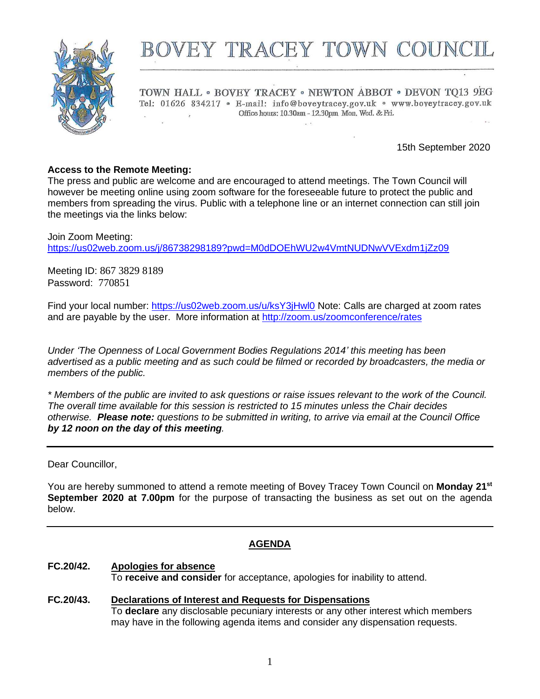

# BOVEY TRACEY TOWN COUNC

TOWN HALL . BOVEY TRACEY . NEWTON ABBOT . DEVON TQ13 9EG Tel: 01626 834217 · E-mail: info@boveytracey.gov.uk · www.boveytracey.gov.uk Office hours: 10.30am - 12.30pm Mon. Wed. & Fri.

15th September 2020

#### **Access to the Remote Meeting:**

The press and public are welcome and are encouraged to attend meetings. The Town Council will however be meeting online using zoom software for the foreseeable future to protect the public and members from spreading the virus. Public with a telephone line or an internet connection can still join the meetings via the links below:

Join Zoom Meeting: <https://us02web.zoom.us/j/86738298189?pwd=M0dDOEhWU2w4VmtNUDNwVVExdm1jZz09>

Meeting ID: 867 3829 8189 Password: 770851

Find your local number: <https://us02web.zoom.us/u/ksY3jHwl0> Note: Calls are charged at zoom rates and are payable by the user. More information at<http://zoom.us/zoomconference/rates>

*Under 'The Openness of Local Government Bodies Regulations 2014' this meeting has been advertised as a public meeting and as such could be filmed or recorded by broadcasters, the media or members of the public.*

*\* Members of the public are invited to ask questions or raise issues relevant to the work of the Council. The overall time available for this session is restricted to 15 minutes unless the Chair decides otherwise. Please note: questions to be submitted in writing, to arrive via email at the Council Office by 12 noon on the day of this meeting.*

Dear Councillor,

You are hereby summoned to attend a remote meeting of Bovey Tracey Town Council on **Monday 21st September 2020 at 7.00pm** for the purpose of transacting the business as set out on the agenda below.

#### **AGENDA**

- **FC.20/42. Apologies for absence** To **receive and consider** for acceptance, apologies for inability to attend.
- **FC***.***20/43. Declarations of Interest and Requests for Dispensations** To **declare** any disclosable pecuniary interests or any other interest which members may have in the following agenda items and consider any dispensation requests.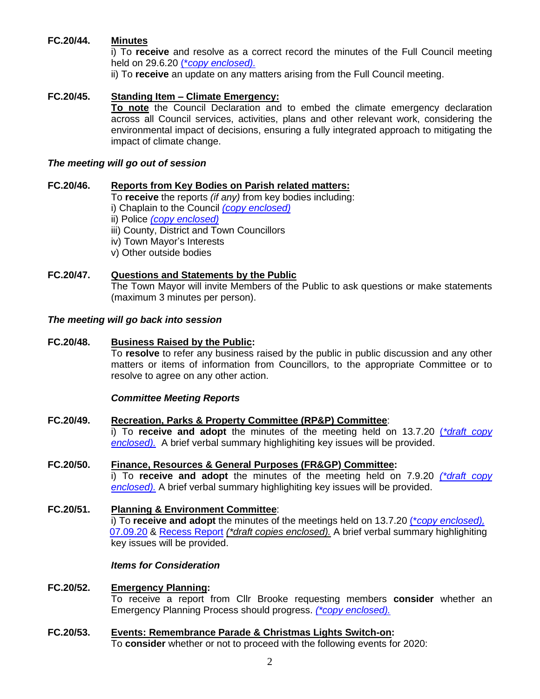#### **FC.20/44. Minutes**

i) To **receive** and resolve as a correct record the minutes of the Full Council meeting held on 29.6.20 (\**[copy enclosed\).](https://www.dropbox.com/s/pn0v0qn0nmnr3xd/21.09.20%20-%20Full%20Council%20mtg%20mins%2029.6.20.doc?dl=0)*

ii) To **receive** an update on any matters arising from the Full Council meeting.

#### **FC.20/45. Standing Item – Climate Emergency:**

**To note** the Council Declaration and to embed the climate emergency declaration across all Council services, activities, plans and other relevant work, considering the environmental impact of decisions, ensuring a fully integrated approach to mitigating the impact of climate change.

#### *The meeting will go out of session*

#### **FC.20/46. Reports from Key Bodies on Parish related matters:**

To **receive** the reports *(if any)* from key bodies including:

i) Chaplain to the Council *[\(copy enclosed\)](https://www.dropbox.com/s/u2hnn5hcl02wrrt/21.09.20%20-%20Report%20from%20the%20Churches%20to%20the%20Town%20Council.docx?dl=0)*

ii) Police *[\(copy enclosed\)](https://www.dropbox.com/s/fo04ig93bd43nkv/21.09.20%20-%20Devon%20%26%20Cornwall%20POlice%20Report.pdf?dl=0)*

iii) County, District and Town Councillors

- iv) Town Mayor's Interests
- v) Other outside bodies

#### **FC.20/47. Questions and Statements by the Public**

The Town Mayor will invite Members of the Public to ask questions or make statements (maximum 3 minutes per person).

#### *The meeting will go back into session*

#### **FC.20/48. Business Raised by the Public:**

To **resolve** to refer any business raised by the public in public discussion and any other matters or items of information from Councillors, to the appropriate Committee or to resolve to agree on any other action.

#### *Committee Meeting Reports*

**FC.20/49. Recreation, Parks & Property Committee (RP&P) Committee**: i) To **receive and adopt** the minutes of the meeting held on 13.7.20 (*[\\*draft copy](https://www.dropbox.com/s/y9s044wf9jo0gj3/21.09.20%20-%20RP%26P%20Comm%20mtg%20Mins%2013.7.20.doc?dl=0) [enclosed\).](https://www.dropbox.com/s/y9s044wf9jo0gj3/21.09.20%20-%20RP%26P%20Comm%20mtg%20Mins%2013.7.20.doc?dl=0)* A brief verbal summary highlighiting key issues will be provided.

### **FC.20/50. Finance, Resources & General Purposes (FR&GP) Committee:**

i) To **receive and adopt** the minutes of the meeting held on 7.9.20 *[\(\\*draft copy](https://www.dropbox.com/s/36eg1opleac4n7b/21.09.20%20-%20FR%26GP%20DRAFT%20Mtg%20Mins%20-%2007.09.20.doc?dl=0) [enclosed\).](https://www.dropbox.com/s/36eg1opleac4n7b/21.09.20%20-%20FR%26GP%20DRAFT%20Mtg%20Mins%20-%2007.09.20.doc?dl=0)* A brief verbal summary highlighiting key issues will be provided.

**FC.20/51. Planning & Environment Committee**: i) To **receive and adopt** the minutes of the meetings held on 13.7.20 (\**copy [enclosed\),](https://www.dropbox.com/s/xflhejcksrbriw1/21.09.20%20-%20Planing%20%26%20Env%20Comm%20mtg%20Mins%2013.7.20.doc?dl=0)* [07.09.20](https://www.dropbox.com/s/scfwo2g0ymxhley/21.09.20%20-%20Planning%20%26%20Env%20Comm%20mtg%20DRAFT%20Minutes%2007.09.20.doc?dl=0) & [Recess Report](https://www.dropbox.com/s/zbcfhm0z67elplv/21.09.20%20-%20Summer%20Recess%20report%20Pl%20%26%20Env.doc?dl=0) *(\*draft copies enclosed).* A brief verbal summary highlighiting key issues will be provided.

#### *Items for Consideration*

## **FC.20/52. Emergency Planning:**

To receive a report from Cllr Brooke requesting members **consider** whether an Emergency Planning Process should progress. *[\(\\*copy enclosed\).](https://www.dropbox.com/s/md884k543q8fw7q/21.09.20%20Emergency%20planning%20-%20report%20to%20Full%20Council%20Sept%202020.docx?dl=0)*

**FC.20/53. Events: Remembrance Parade & Christmas Lights Switch-on:** To **consider** whether or not to proceed with the following events for 2020: